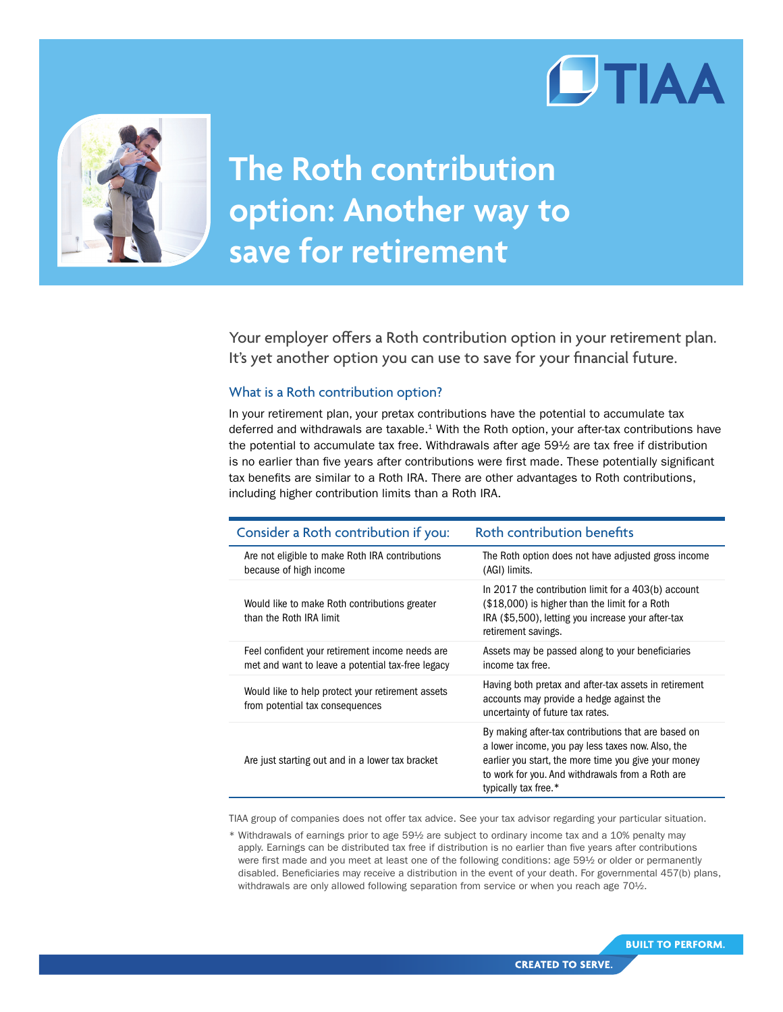



## **The Roth contribution option: Another way to save for retirement**

Your employer offers a Roth contribution option in your retirement plan. It's yet another option you can use to save for your financial future.

## What is a Roth contribution option?

In your retirement plan, your pretax contributions have the potential to accumulate tax deferred and withdrawals are taxable.<sup>1</sup> With the Roth option, your after-tax contributions have the potential to accumulate tax free. Withdrawals after age 59½ are tax free if distribution is no earlier than five years after contributions were first made. These potentially significant tax benefits are similar to a Roth IRA. There are other advantages to Roth contributions, including higher contribution limits than a Roth IRA.

| Consider a Roth contribution if you:                                                                 | Roth contribution benefits                                                                                                                                                                                                                   |
|------------------------------------------------------------------------------------------------------|----------------------------------------------------------------------------------------------------------------------------------------------------------------------------------------------------------------------------------------------|
| Are not eligible to make Roth IRA contributions<br>because of high income                            | The Roth option does not have adjusted gross income<br>(AGI) limits.                                                                                                                                                                         |
| Would like to make Roth contributions greater<br>than the Roth IRA limit                             | In 2017 the contribution limit for a 403(b) account<br>(\$18,000) is higher than the limit for a Roth<br>IRA (\$5,500), letting you increase your after-tax<br>retirement savings.                                                           |
| Feel confident your retirement income needs are<br>met and want to leave a potential tax-free legacy | Assets may be passed along to your beneficiaries<br>income tax free.                                                                                                                                                                         |
| Would like to help protect your retirement assets<br>from potential tax consequences                 | Having both pretax and after-tax assets in retirement<br>accounts may provide a hedge against the<br>uncertainty of future tax rates.                                                                                                        |
| Are just starting out and in a lower tax bracket                                                     | By making after-tax contributions that are based on<br>a lower income, you pay less taxes now. Also, the<br>earlier you start, the more time you give your money<br>to work for you. And withdrawals from a Roth are<br>typically tax free.* |

TIAA group of companies does not offer tax advice. See your tax advisor regarding your particular situation.

\* Withdrawals of earnings prior to age 59½ are subject to ordinary income tax and a 10% penalty may apply. Earnings can be distributed tax free if distribution is no earlier than five years after contributions were first made and you meet at least one of the following conditions: age 59½ or older or permanently disabled. Beneficiaries may receive a distribution in the event of your death. For governmental 457(b) plans, withdrawals are only allowed following separation from service or when you reach age 70<sup>1</sup>/2.

**BUILT TO PERFORM.**